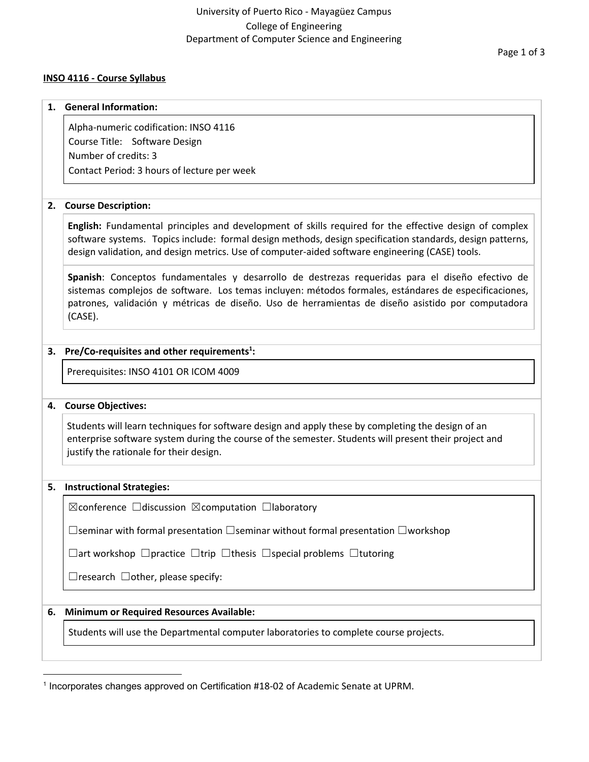### **INSO 4116 - Course Syllabus**

#### **1. General Information:**

Alpha-numeric codification: INSO 4116 Course Title: Software Design Number of credits: 3 Contact Period: 3 hours of lecture per week

### **2. Course Description:**

**English:** Fundamental principles and development of skills required for the effective design of complex software systems. Topics include: formal design methods, design specification standards, design patterns, design validation, and design metrics. Use of computer-aided software engineering (CASE) tools.

**Spanish**: Conceptos fundamentales y desarrollo de destrezas requeridas para el diseño efectivo de sistemas complejos de software. Los temas incluyen: métodos formales, estándares de especificaciones, patrones, validación y métricas de diseño. Uso de herramientas de diseño asistido por computadora (CASE).

### **3. Pre/Co-requisites and other requirements : 1**

Prerequisites: INSO 4101 OR ICOM 4009

### **4. Course Objectives:**

Students will learn techniques for software design and apply these by completing the design of an enterprise software system during the course of the semester. Students will present their project and justify the rationale for their design.

#### **5. Instructional Strategies:**

☒conference ☐discussion ☒computation ☐laboratory

☐seminar with formal presentation ☐seminar without formal presentation ☐workshop

☐art workshop ☐practice ☐trip ☐thesis ☐special problems ☐tutoring

 $\Box$ research  $\Box$ other, please specify:

### **6. Minimum or Required Resources Available:**

Students will use the Departmental computer laboratories to complete course projects.

<sup>&</sup>lt;sup>1</sup> Incorporates changes approved on Certification #18-02 of Academic Senate at UPRM.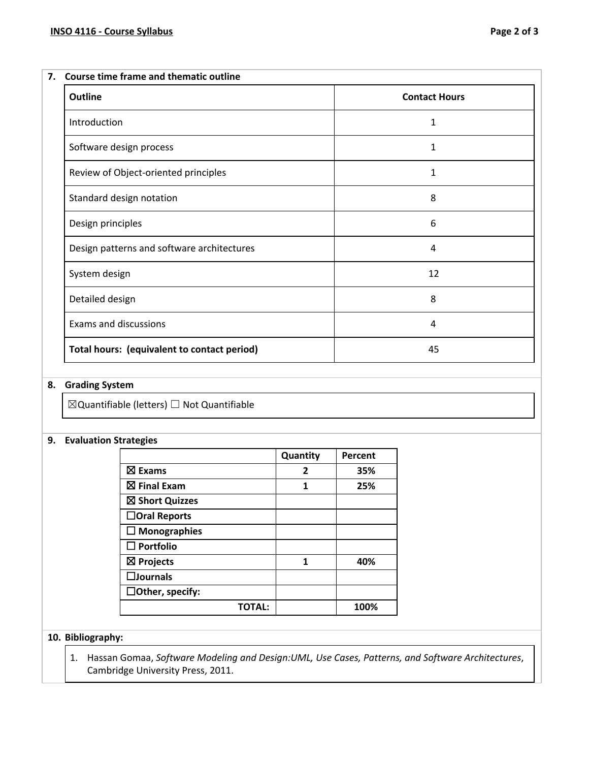| <b>Outline</b>                              | <b>Contact Hours</b> |
|---------------------------------------------|----------------------|
| Introduction                                | 1                    |
| Software design process                     | 1                    |
| Review of Object-oriented principles        | 1                    |
| Standard design notation                    | 8                    |
| Design principles                           | 6                    |
| Design patterns and software architectures  | 4                    |
| System design                               | 12                   |
| Detailed design                             | 8                    |
| <b>Exams and discussions</b>                | 4                    |
| Total hours: (equivalent to contact period) | 45                   |

## **8. Grading System**

 $\boxtimes$ Quantifiable (letters)  $\Box$  Not Quantifiable

## **9. Evaluation Strategies**

|                        | Quantity     | Percent |
|------------------------|--------------|---------|
| $\boxtimes$ Exams      | $\mathbf{2}$ | 35%     |
| $\boxtimes$ Final Exam | 1            | 25%     |
| ⊠ Short Quizzes        |              |         |
| $\Box$ Oral Reports    |              |         |
| $\Box$ Monographies    |              |         |
| $\square$ Portfolio    |              |         |
| $\boxtimes$ Projects   | 1            | 40%     |
| $\square$ Journals     |              |         |
| $\Box$ Other, specify: |              |         |
| TOTAL:                 |              | 100%    |

## **10. Bibliography:**

1. Hassan Gomaa, *Software Modeling and Design:UML, Use Cases, Patterns, and Software Architectures*, Cambridge University Press, 2011.